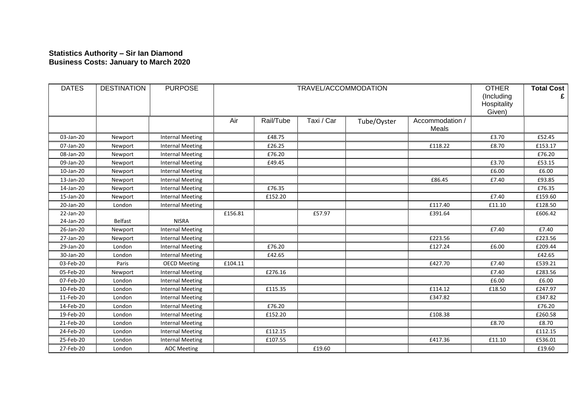## **Statistics Authority – Sir Ian Diamond Business Costs: January to March 2020**

| <b>DATES</b>           | <b>DESTINATION</b> | <b>PURPOSE</b>          | TRAVEL/ACCOMMODATION |           |            |             |                          | <b>OTHER</b><br>(Including<br>Hospitality<br>Given) | <b>Total Cost</b> |
|------------------------|--------------------|-------------------------|----------------------|-----------|------------|-------------|--------------------------|-----------------------------------------------------|-------------------|
|                        |                    |                         | Air                  | Rail/Tube | Taxi / Car | Tube/Oyster | Accommodation /<br>Meals |                                                     |                   |
| 03-Jan-20              | Newport            | <b>Internal Meeting</b> |                      | £48.75    |            |             |                          | £3.70                                               | £52.45            |
| 07-Jan-20              | Newport            | <b>Internal Meeting</b> |                      | £26.25    |            |             | £118.22                  | £8.70                                               | £153.17           |
| 08-Jan-20              | Newport            | <b>Internal Meeting</b> |                      | £76.20    |            |             |                          |                                                     | £76.20            |
| 09-Jan-20              | Newport            | <b>Internal Meeting</b> |                      | £49.45    |            |             |                          | £3.70                                               | £53.15            |
| 10-Jan-20              | Newport            | <b>Internal Meeting</b> |                      |           |            |             |                          | £6.00                                               | £6.00             |
| 13-Jan-20              | Newport            | <b>Internal Meeting</b> |                      |           |            |             | £86.45                   | £7.40                                               | £93.85            |
| 14-Jan-20              | Newport            | <b>Internal Meeting</b> |                      | £76.35    |            |             |                          |                                                     | £76.35            |
| 15-Jan-20              | Newport            | <b>Internal Meeting</b> |                      | £152.20   |            |             |                          | £7.40                                               | £159.60           |
| 20-Jan-20              | London             | <b>Internal Meeting</b> |                      |           |            |             | £117.40                  | £11.10                                              | £128.50           |
| 22-Jan-20<br>24-Jan-20 | <b>Belfast</b>     | <b>NISRA</b>            | £156.81              |           | £57.97     |             | £391.64                  |                                                     | £606.42           |
| 26-Jan-20              | Newport            | <b>Internal Meeting</b> |                      |           |            |             |                          | £7.40                                               | £7.40             |
| 27-Jan-20              | Newport            | <b>Internal Meeting</b> |                      |           |            |             | £223.56                  |                                                     | £223.56           |
| 29-Jan-20              | London             | <b>Internal Meeting</b> |                      | £76.20    |            |             | £127.24                  | £6.00                                               | £209.44           |
| 30-Jan-20              | London             | <b>Internal Meeting</b> |                      | £42.65    |            |             |                          |                                                     | £42.65            |
| 03-Feb-20              | Paris              | <b>OECD Meeting</b>     | £104.11              |           |            |             | £427.70                  | £7.40                                               | £539.21           |
| 05-Feb-20              | Newport            | <b>Internal Meeting</b> |                      | £276.16   |            |             |                          | £7.40                                               | £283.56           |
| 07-Feb-20              | London             | <b>Internal Meeting</b> |                      |           |            |             |                          | £6.00                                               | £6.00             |
| 10-Feb-20              | London             | <b>Internal Meeting</b> |                      | £115.35   |            |             | £114.12                  | £18.50                                              | £247.97           |
| 11-Feb-20              | London             | <b>Internal Meeting</b> |                      |           |            |             | £347.82                  |                                                     | £347.82           |
| 14-Feb-20              | London             | <b>Internal Meeting</b> |                      | £76.20    |            |             |                          |                                                     | £76.20            |
| 19-Feb-20              | London             | <b>Internal Meeting</b> |                      | £152.20   |            |             | £108.38                  |                                                     | £260.58           |
| 21-Feb-20              | London             | <b>Internal Meeting</b> |                      |           |            |             |                          | £8.70                                               | £8.70             |
| 24-Feb-20              | London             | <b>Internal Meeting</b> |                      | £112.15   |            |             |                          |                                                     | £112.15           |
| 25-Feb-20              | London             | <b>Internal Meeting</b> |                      | £107.55   |            |             | £417.36                  | £11.10                                              | £536.01           |
| 27-Feb-20              | London             | <b>AOC Meeting</b>      |                      |           | £19.60     |             |                          |                                                     | £19.60            |